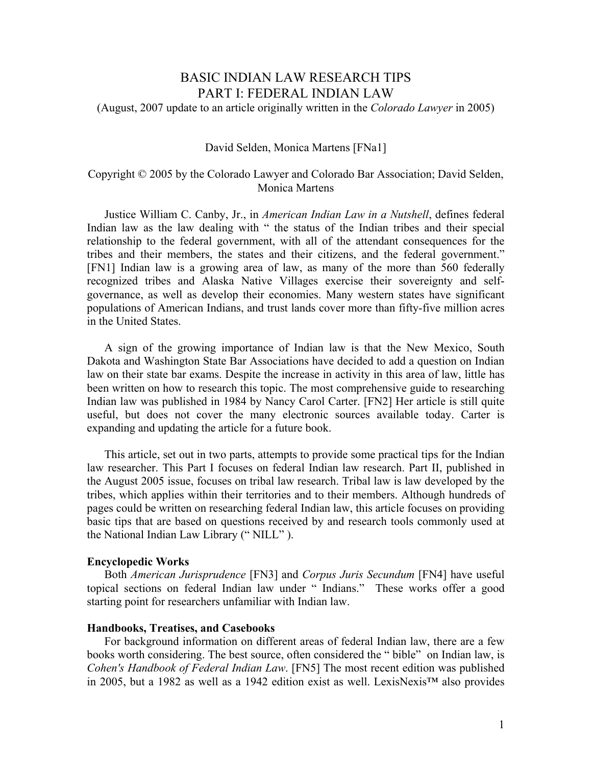# BASIC INDIAN LAW RESEARCH TIPS PART I: FEDERAL INDIAN LAW

(August, 2007 update to an article originally written in the *Colorado Lawyer* in 2005)

#### David Selden, Monica Martens [FNa1]

# Copyright © 2005 by the Colorado Lawyer and Colorado Bar Association; David Selden, Monica Martens

 Justice William C. Canby, Jr., in *American Indian Law in a Nutshell*, defines federal Indian law as the law dealing with " the status of the Indian tribes and their special relationship to the federal government, with all of the attendant consequences for the tribes and their members, the states and their citizens, and the federal government." [FN1] Indian law is a growing area of law, as many of the more than 560 federally recognized tribes and Alaska Native Villages exercise their sovereignty and selfgovernance, as well as develop their economies. Many western states have significant populations of American Indians, and trust lands cover more than fifty-five million acres in the United States.

 A sign of the growing importance of Indian law is that the New Mexico, South Dakota and Washington State Bar Associations have decided to add a question on Indian law on their state bar exams. Despite the increase in activity in this area of law, little has been written on how to research this topic. The most comprehensive guide to researching Indian law was published in 1984 by Nancy Carol Carter. [FN2] Her article is still quite useful, but does not cover the many electronic sources available today. Carter is expanding and updating the article for a future book.

 This article, set out in two parts, attempts to provide some practical tips for the Indian law researcher. This Part I focuses on federal Indian law research. Part II, published in the August 2005 issue, focuses on tribal law research. Tribal law is law developed by the tribes, which applies within their territories and to their members. Although hundreds of pages could be written on researching federal Indian law, this article focuses on providing basic tips that are based on questions received by and research tools commonly used at the National Indian Law Library (" NILL" ).

#### **Encyclopedic Works**

 Both *American Jurisprudence* [FN3] and *Corpus Juris Secundum* [FN4] have useful topical sections on federal Indian law under " Indians." These works offer a good starting point for researchers unfamiliar with Indian law.

## **Handbooks, Treatises, and Casebooks**

 For background information on different areas of federal Indian law, there are a few books worth considering. The best source, often considered the " bible" on Indian law, is *Cohen's Handbook of Federal Indian Law*. [FN5] The most recent edition was published in 2005, but a 1982 as well as a 1942 edition exist as well. LexisNexis™ also provides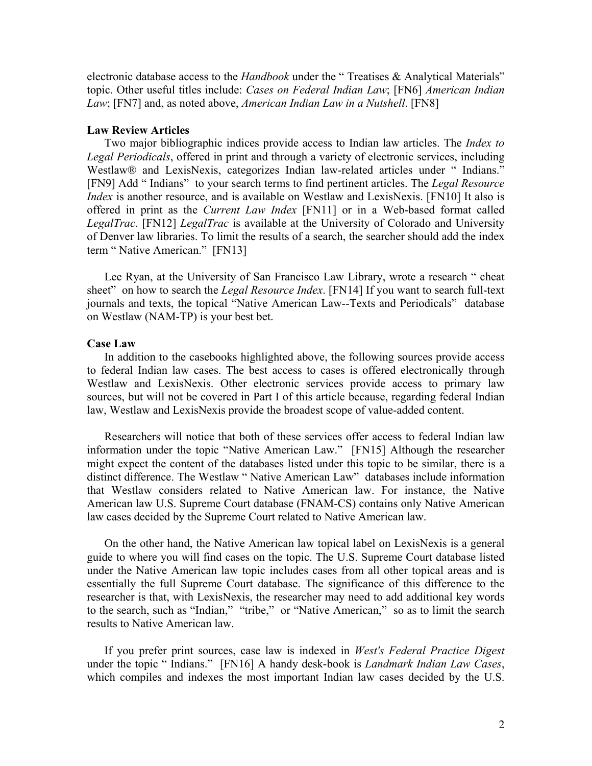electronic database access to the *Handbook* under the "Treatises & Analytical Materials" topic. Other useful titles include: *Cases on Federal Indian Law*; [FN6] *American Indian Law*; [FN7] and, as noted above, *American Indian Law in a Nutshell*. [FN8]

# **Law Review Articles**

 Two major bibliographic indices provide access to Indian law articles. The *Index to Legal Periodicals*, offered in print and through a variety of electronic services, including Westlaw® and LexisNexis, categorizes Indian law-related articles under "Indians." [FN9] Add " Indians" to your search terms to find pertinent articles. The *Legal Resource Index* is another resource, and is available on Westlaw and LexisNexis. [FN10] It also is offered in print as the *Current Law Index* [FN11] or in a Web-based format called *LegalTrac*. [FN12] *LegalTrac* is available at the University of Colorado and University of Denver law libraries. To limit the results of a search, the searcher should add the index term " Native American." [FN13]

 Lee Ryan, at the University of San Francisco Law Library, wrote a research " cheat sheet" on how to search the *Legal Resource Index*. [FN14] If you want to search full-text journals and texts, the topical "Native American Law--Texts and Periodicals" database on Westlaw (NAM-TP) is your best bet.

#### **Case Law**

 In addition to the casebooks highlighted above, the following sources provide access to federal Indian law cases. The best access to cases is offered electronically through Westlaw and LexisNexis. Other electronic services provide access to primary law sources, but will not be covered in Part I of this article because, regarding federal Indian law, Westlaw and LexisNexis provide the broadest scope of value-added content.

 Researchers will notice that both of these services offer access to federal Indian law information under the topic "Native American Law." [FN15] Although the researcher might expect the content of the databases listed under this topic to be similar, there is a distinct difference. The Westlaw " Native American Law" databases include information that Westlaw considers related to Native American law. For instance, the Native American law U.S. Supreme Court database (FNAM-CS) contains only Native American law cases decided by the Supreme Court related to Native American law.

 On the other hand, the Native American law topical label on LexisNexis is a general guide to where you will find cases on the topic. The U.S. Supreme Court database listed under the Native American law topic includes cases from all other topical areas and is essentially the full Supreme Court database. The significance of this difference to the researcher is that, with LexisNexis, the researcher may need to add additional key words to the search, such as "Indian," "tribe," or "Native American," so as to limit the search results to Native American law.

 If you prefer print sources, case law is indexed in *West's Federal Practice Digest* under the topic " Indians." [FN16] A handy desk-book is *Landmark Indian Law Cases*, which compiles and indexes the most important Indian law cases decided by the U.S.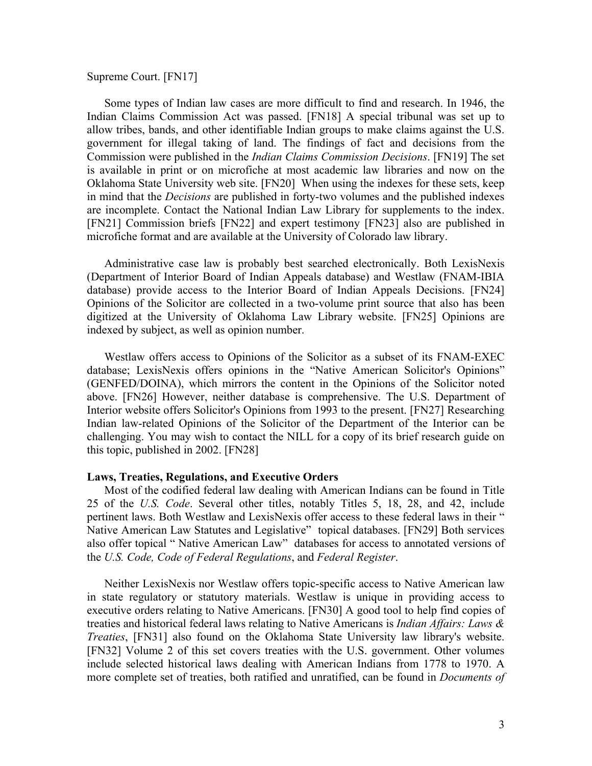# Supreme Court. [FN17]

 Some types of Indian law cases are more difficult to find and research. In 1946, the Indian Claims Commission Act was passed. [FN18] A special tribunal was set up to allow tribes, bands, and other identifiable Indian groups to make claims against the U.S. government for illegal taking of land. The findings of fact and decisions from the Commission were published in the *Indian Claims Commission Decisions*. [FN19] The set is available in print or on microfiche at most academic law libraries and now on the Oklahoma State University web site. [FN20] When using the indexes for these sets, keep in mind that the *Decisions* are published in forty-two volumes and the published indexes are incomplete. Contact the National Indian Law Library for supplements to the index. [FN21] Commission briefs [FN22] and expert testimony [FN23] also are published in microfiche format and are available at the University of Colorado law library.

 Administrative case law is probably best searched electronically. Both LexisNexis (Department of Interior Board of Indian Appeals database) and Westlaw (FNAM-IBIA database) provide access to the Interior Board of Indian Appeals Decisions. [FN24] Opinions of the Solicitor are collected in a two-volume print source that also has been digitized at the University of Oklahoma Law Library website. [FN25] Opinions are indexed by subject, as well as opinion number.

 Westlaw offers access to Opinions of the Solicitor as a subset of its FNAM-EXEC database; LexisNexis offers opinions in the "Native American Solicitor's Opinions" (GENFED/DOINA), which mirrors the content in the Opinions of the Solicitor noted above. [FN26] However, neither database is comprehensive. The U.S. Department of Interior website offers Solicitor's Opinions from 1993 to the present. [FN27] Researching Indian law-related Opinions of the Solicitor of the Department of the Interior can be challenging. You may wish to contact the NILL for a copy of its brief research guide on this topic, published in 2002. [FN28]

# **Laws, Treaties, Regulations, and Executive Orders**

 Most of the codified federal law dealing with American Indians can be found in Title 25 of the *U.S. Code*. Several other titles, notably Titles 5, 18, 28, and 42, include pertinent laws. Both Westlaw and LexisNexis offer access to these federal laws in their " Native American Law Statutes and Legislative" topical databases. [FN29] Both services also offer topical " Native American Law" databases for access to annotated versions of the *U.S. Code, Code of Federal Regulations*, and *Federal Register*.

 Neither LexisNexis nor Westlaw offers topic-specific access to Native American law in state regulatory or statutory materials. Westlaw is unique in providing access to executive orders relating to Native Americans. [FN30] A good tool to help find copies of treaties and historical federal laws relating to Native Americans is *Indian Affairs: Laws & Treaties*, [FN31] also found on the Oklahoma State University law library's website. [FN32] Volume 2 of this set covers treaties with the U.S. government. Other volumes include selected historical laws dealing with American Indians from 1778 to 1970. A more complete set of treaties, both ratified and unratified, can be found in *Documents of*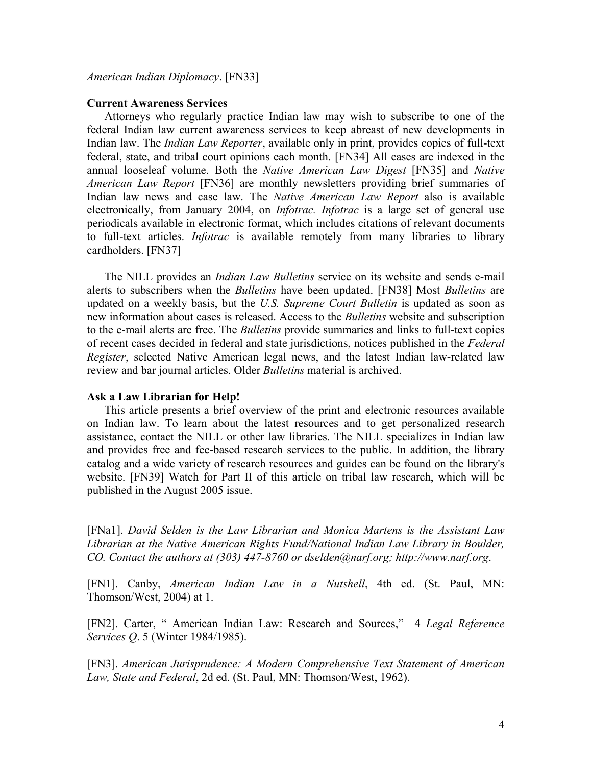## *American Indian Diplomacy*. [FN33]

# **Current Awareness Services**

 Attorneys who regularly practice Indian law may wish to subscribe to one of the federal Indian law current awareness services to keep abreast of new developments in Indian law. The *Indian Law Reporter*, available only in print, provides copies of full-text federal, state, and tribal court opinions each month. [FN34] All cases are indexed in the annual looseleaf volume. Both the *Native American Law Digest* [FN35] and *Native American Law Report* [FN36] are monthly newsletters providing brief summaries of Indian law news and case law. The *Native American Law Report* also is available electronically, from January 2004, on *Infotrac. Infotrac* is a large set of general use periodicals available in electronic format, which includes citations of relevant documents to full-text articles. *Infotrac* is available remotely from many libraries to library cardholders. [FN37]

 The NILL provides an *Indian Law Bulletins* service on its website and sends e-mail alerts to subscribers when the *Bulletins* have been updated. [FN38] Most *Bulletins* are updated on a weekly basis, but the *U.S. Supreme Court Bulletin* is updated as soon as new information about cases is released. Access to the *Bulletins* website and subscription to the e-mail alerts are free. The *Bulletins* provide summaries and links to full-text copies of recent cases decided in federal and state jurisdictions, notices published in the *Federal Register*, selected Native American legal news, and the latest Indian law-related law review and bar journal articles. Older *Bulletins* material is archived.

# **Ask a Law Librarian for Help!**

 This article presents a brief overview of the print and electronic resources available on Indian law. To learn about the latest resources and to get personalized research assistance, contact the NILL or other law libraries. The NILL specializes in Indian law and provides free and fee-based research services to the public. In addition, the library catalog and a wide variety of research resources and guides can be found on the library's website. [FN39] Watch for Part II of this article on tribal law research, which will be published in the August 2005 issue.

[FNa1]. *David Selden is the Law Librarian and Monica Martens is the Assistant Law Librarian at the Native American Rights Fund/National Indian Law Library in Boulder, CO. Contact the authors at (303) 447-8760 or dselden@narf.org; http://www.narf.org*.

[FN1]. Canby, *American Indian Law in a Nutshell*, 4th ed. (St. Paul, MN: Thomson/West, 2004) at 1.

[FN2]. Carter, " American Indian Law: Research and Sources," 4 *Legal Reference Services Q*. 5 (Winter 1984/1985).

[FN3]. *American Jurisprudence: A Modern Comprehensive Text Statement of American Law, State and Federal*, 2d ed. (St. Paul, MN: Thomson/West, 1962).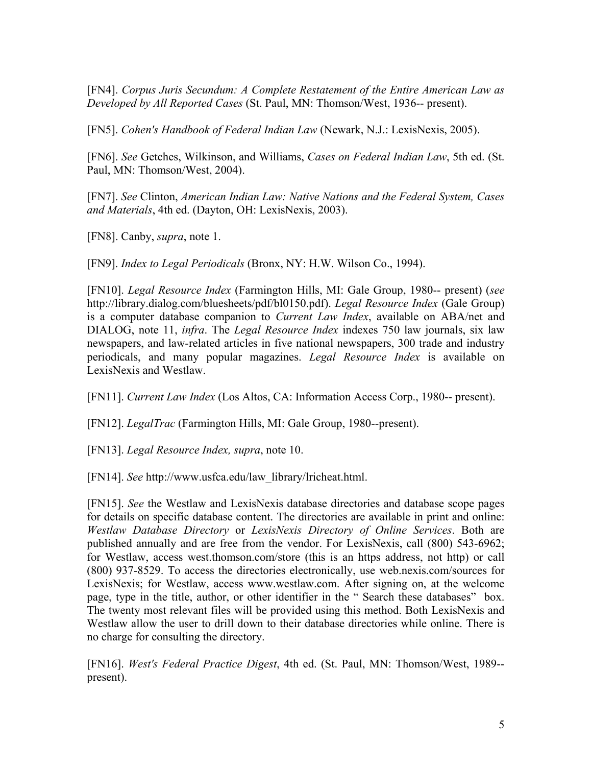[FN4]. *Corpus Juris Secundum: A Complete Restatement of the Entire American Law as Developed by All Reported Cases* (St. Paul, MN: Thomson/West, 1936-- present).

[FN5]. *Cohen's Handbook of Federal Indian Law* (Newark, N.J.: LexisNexis, 2005).

[FN6]. *See* Getches, Wilkinson, and Williams, *Cases on Federal Indian Law*, 5th ed. (St. Paul, MN: Thomson/West, 2004).

[FN7]. *See* Clinton, *American Indian Law: Native Nations and the Federal System, Cases and Materials*, 4th ed. (Dayton, OH: LexisNexis, 2003).

[FN8]. Canby, *supra*, note 1.

[FN9]. *Index to Legal Periodicals* (Bronx, NY: H.W. Wilson Co., 1994).

[FN10]. *Legal Resource Index* (Farmington Hills, MI: Gale Group, 1980-- present) (*see* http://library.dialog.com/bluesheets/pdf/bl0150.pdf). *Legal Resource Index* (Gale Group) is a computer database companion to *Current Law Index*, available on ABA/net and DIALOG, note 11, *infra*. The *Legal Resource Index* indexes 750 law journals, six law newspapers, and law-related articles in five national newspapers, 300 trade and industry periodicals, and many popular magazines. *Legal Resource Index* is available on LexisNexis and Westlaw.

[FN11]. *Current Law Index* (Los Altos, CA: Information Access Corp., 1980-- present).

[FN12]. *LegalTrac* (Farmington Hills, MI: Gale Group, 1980--present).

[FN13]. *Legal Resource Index, supra*, note 10.

[FN14]. *See* http://www.usfca.edu/law\_library/lricheat.html.

[FN15]. *See* the Westlaw and LexisNexis database directories and database scope pages for details on specific database content. The directories are available in print and online: *Westlaw Database Directory* or *LexisNexis Directory of Online Services*. Both are published annually and are free from the vendor. For LexisNexis, call (800) 543-6962; for Westlaw, access west.thomson.com/store (this is an https address, not http) or call (800) 937-8529. To access the directories electronically, use web.nexis.com/sources for LexisNexis; for Westlaw, access www.westlaw.com. After signing on, at the welcome page, type in the title, author, or other identifier in the " Search these databases" box. The twenty most relevant files will be provided using this method. Both LexisNexis and Westlaw allow the user to drill down to their database directories while online. There is no charge for consulting the directory.

[FN16]. *West's Federal Practice Digest*, 4th ed. (St. Paul, MN: Thomson/West, 1989- present).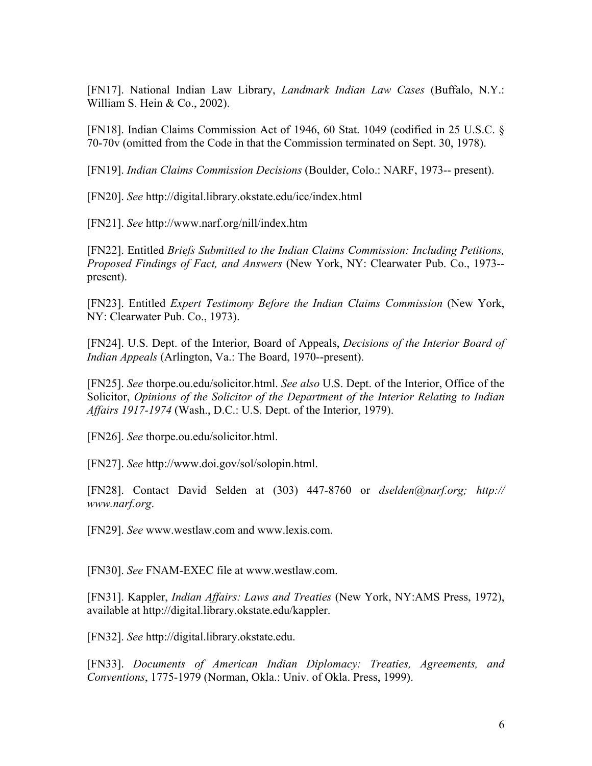[FN17]. National Indian Law Library, *Landmark Indian Law Cases* (Buffalo, N.Y.: William S. Hein & Co., 2002).

[FN18]. Indian Claims Commission Act of 1946, 60 Stat. 1049 (codified in 25 U.S.C. § 70-70v (omitted from the Code in that the Commission terminated on Sept. 30, 1978).

[FN19]. *Indian Claims Commission Decisions* (Boulder, Colo.: NARF, 1973-- present).

[FN20]. *See* http://digital.library.okstate.edu/icc/index.html

[FN21]. *See* http://www.narf.org/nill/index.htm

[FN22]. Entitled *Briefs Submitted to the Indian Claims Commission: Including Petitions, Proposed Findings of Fact, and Answers* (New York, NY: Clearwater Pub. Co., 1973- present).

[FN23]. Entitled *Expert Testimony Before the Indian Claims Commission* (New York, NY: Clearwater Pub. Co., 1973).

[FN24]. U.S. Dept. of the Interior, Board of Appeals, *Decisions of the Interior Board of Indian Appeals* (Arlington, Va.: The Board, 1970--present).

[FN25]. *See* thorpe.ou.edu/solicitor.html. *See also* U.S. Dept. of the Interior, Office of the Solicitor, *Opinions of the Solicitor of the Department of the Interior Relating to Indian Affairs 1917-1974* (Wash., D.C.: U.S. Dept. of the Interior, 1979).

[FN26]. *See* thorpe.ou.edu/solicitor.html.

[FN27]. *See* http://www.doi.gov/sol/solopin.html.

[FN28]. Contact David Selden at (303) 447-8760 or *dselden@narf.org; http:// www.narf.org*.

[FN29]. *See* www.westlaw.com and www.lexis.com.

[FN30]. *See* FNAM-EXEC file at www.westlaw.com.

[FN31]. Kappler, *Indian Affairs: Laws and Treaties* (New York, NY:AMS Press, 1972), available at http://digital.library.okstate.edu/kappler.

[FN32]. *See* http://digital.library.okstate.edu.

[FN33]. *Documents of American Indian Diplomacy: Treaties, Agreements, and Conventions*, 1775-1979 (Norman, Okla.: Univ. of Okla. Press, 1999).